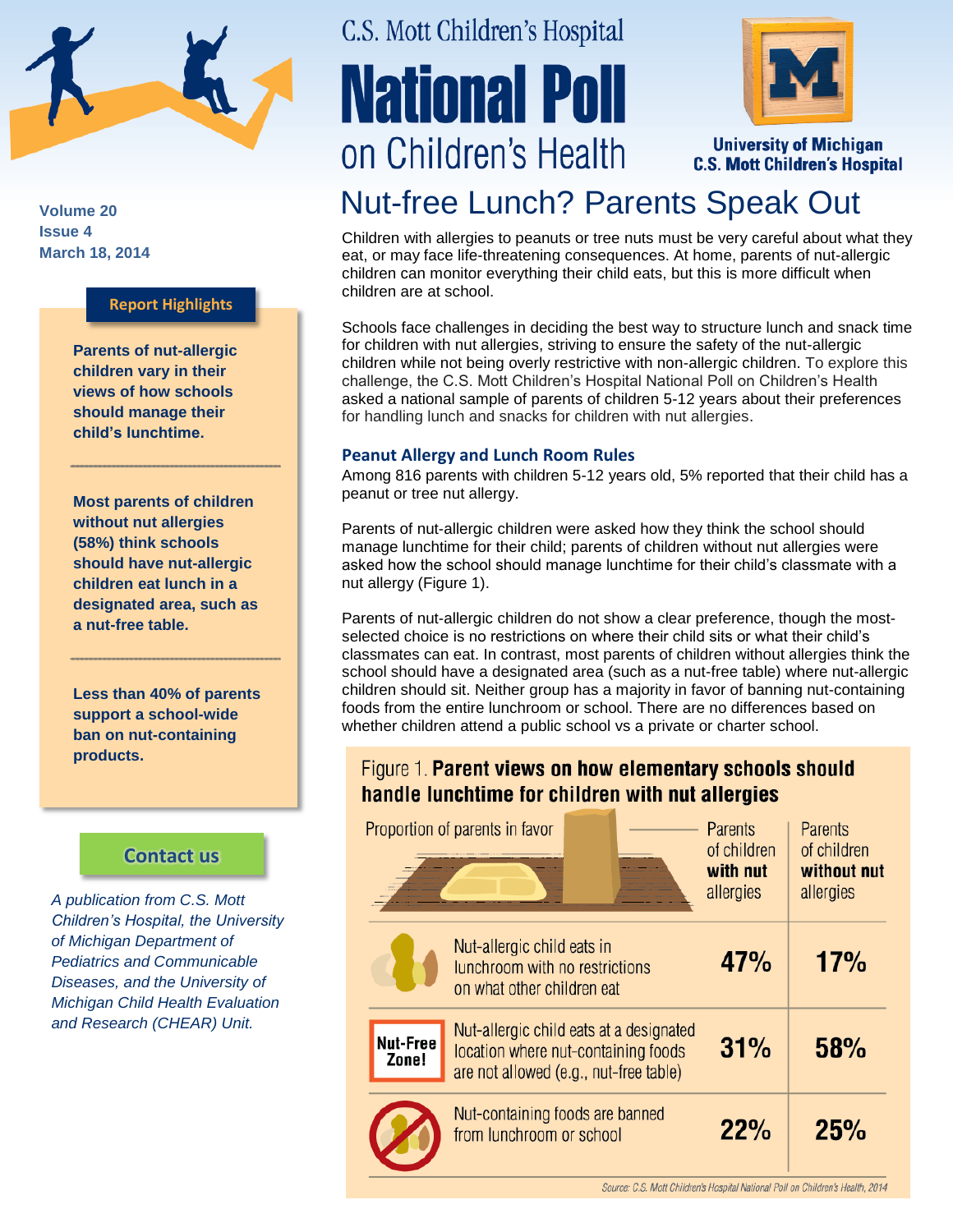

**Volume 20 Issue 4 March 18, 2014**

### **Report Highlights**

**Parents of nut-allergic children vary in their views of how schools should manage their child's lunchtime.** 

**Most parents of children without nut allergies (58%) think schools should have nut-allergic children eat lunch in a designated area, such as a nut-free table.**

**Less than 40% of parents support a school-wide ban on nut-containing products.**

## **[Contact us](http://mottnpch.org/contact)**

*A publication from C.S. Mott Children's Hospital, the University of Michigan Department of Pediatrics and Communicable Diseases, and the University of Michigan Child Health Evaluation and Research (CHEAR) Unit.*

# C.S. Mott Children's Hospital

# **National Poll** on Children's Health



**University of Michigan C.S. Mott Children's Hospital** 

# Nut-free Lunch? Parents Speak Out

Children with allergies to peanuts or tree nuts must be very careful about what they eat, or may face life-threatening consequences. At home, parents of nut-allergic children can monitor everything their child eats, but this is more difficult when children are at school.

Schools face challenges in deciding the best way to structure lunch and snack time for children with nut allergies, striving to ensure the safety of the nut-allergic children while not being overly restrictive with non-allergic children. To explore this challenge, the C.S. Mott Children's Hospital National Poll on Children's Health asked a national sample of parents of children 5-12 years about their preferences for handling lunch and snacks for children with nut allergies.

#### **Peanut Allergy and Lunch Room Rules**

Among 816 parents with children 5-12 years old, 5% reported that their child has a peanut or tree nut allergy.

Parents of nut-allergic children were asked how they think the school should manage lunchtime for their child; parents of children without nut allergies were asked how the school should manage lunchtime for their child's classmate with a nut allergy (Figure 1).

Parents of nut-allergic children do not show a clear preference, though the mostselected choice is no restrictions on where their child sits or what their child's classmates can eat. In contrast, most parents of children without allergies think the school should have a designated area (such as a nut-free table) where nut-allergic children should sit. Neither group has a majority in favor of banning nut-containing foods from the entire lunchroom or school. There are no differences based on whether children attend a public school vs a private or charter school.

## Figure 1. Parent views on how elementary schools should handle lunchtime for children with nut allergies

|                   | Proportion of parents in favor                                                                                           | Parents<br>of children<br>with nut<br>allergies | Parents<br>of children<br>without nut<br>allergies |
|-------------------|--------------------------------------------------------------------------------------------------------------------------|-------------------------------------------------|----------------------------------------------------|
|                   | Nut-allergic child eats in<br>lunchroom with no restrictions<br>on what other children eat                               | 47%                                             | 17%                                                |
| Nut-Free<br>Zone! | Nut-allergic child eats at a designated<br>location where nut-containing foods<br>are not allowed (e.g., nut-free table) | 31%                                             | 58%                                                |
|                   | Nut-containing foods are banned<br>from lunchroom or school                                                              | 22%                                             | 25%                                                |